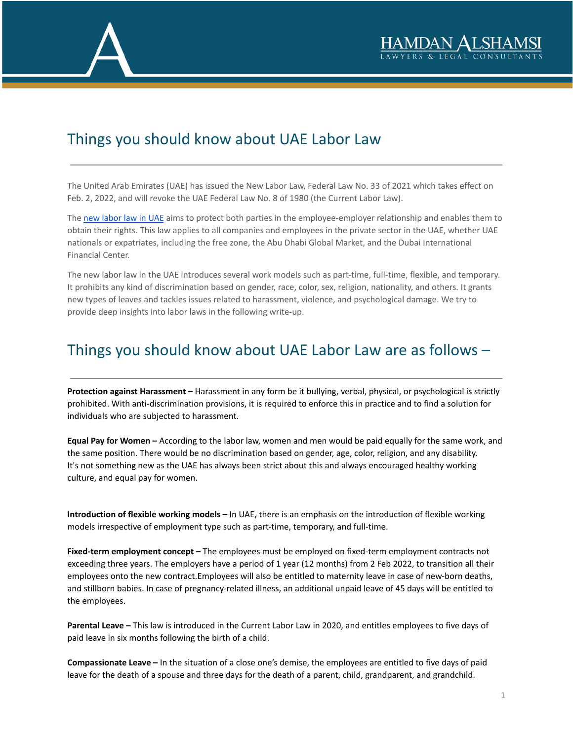

## Things you should know about UAE Labor Law

The United Arab Emirates (UAE) has issued the New Labor Law, Federal Law No. 33 of 2021 which takes effect on Feb. 2, 2022, and will revoke the UAE Federal Law No. 8 of 1980 (the Current Labor Law).

The new [labor](https://www.alshamsilegal.com/practice-areas/employment-and-labor-law/) law in UAE aims to protect both parties in the employee-employer relationship and enables them to obtain their rights. This law applies to all companies and employees in the private sector in the UAE, whether UAE nationals or expatriates, including the free zone, the Abu Dhabi Global Market, and the Dubai International Financial Center.

The new labor law in the UAE introduces several work models such as part-time, full-time, flexible, and temporary. It prohibits any kind of discrimination based on gender, race, color, sex, religion, nationality, and others. It grants new types of leaves and tackles issues related to harassment, violence, and psychological damage. We try to provide deep insights into labor laws in the following write-up.

## Things you should know about UAE Labor Law are as follows –

**Protection against Harassment –** Harassment in any form be it bullying, verbal, physical, or psychological is strictly prohibited. With anti-discrimination provisions, it is required to enforce this in practice and to find a solution for individuals who are subjected to harassment.

**Equal Pay for Women –** According to the labor law, women and men would be paid equally for the same work, and the same position. There would be no discrimination based on gender, age, color, religion, and any disability. It's not something new as the UAE has always been strict about this and always encouraged healthy working culture, and equal pay for women.

**Introduction of flexible working models –** In UAE, there is an emphasis on the introduction of flexible working models irrespective of employment type such as part-time, temporary, and full-time.

**Fixed-term employment concept –** The employees must be employed on fixed-term employment contracts not exceeding three years. The employers have a period of 1 year (12 months) from 2 Feb 2022, to transition all their employees onto the new contract.Employees will also be entitled to maternity leave in case of new-born deaths, and stillborn babies. In case of pregnancy-related illness, an additional unpaid leave of 45 days will be entitled to the employees.

**Parental Leave –** This law is introduced in the Current Labor Law in 2020, and entitles employees to five days of paid leave in six months following the birth of a child.

**Compassionate Leave –** In the situation of a close one's demise, the employees are entitled to five days of paid leave for the death of a spouse and three days for the death of a parent, child, grandparent, and grandchild.